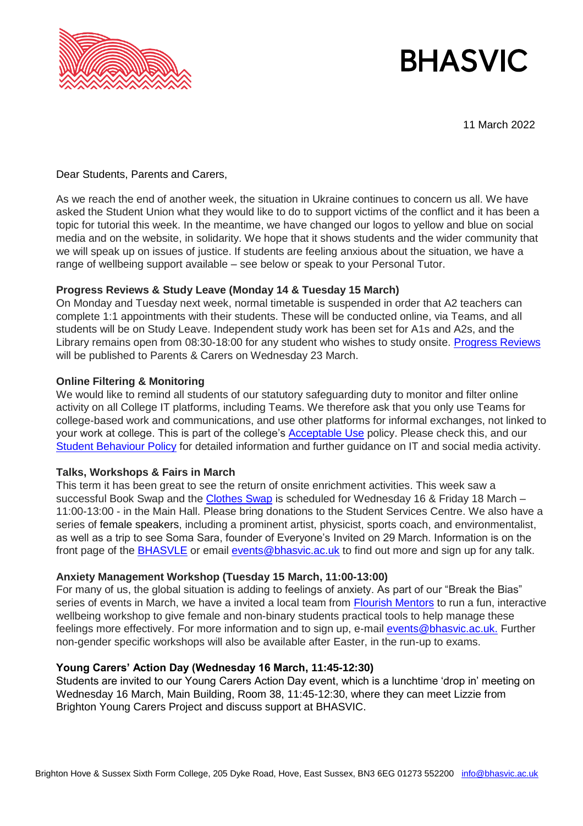

# **BHASVIC**

11 March 2022

Dear Students, Parents and Carers,

As we reach the end of another week, the situation in Ukraine continues to concern us all. We have asked the Student Union what they would like to do to support victims of the conflict and it has been a topic for tutorial this week. In the meantime, we have changed our logos to yellow and blue on social media and on the website, in solidarity. We hope that it shows students and the wider community that we will speak up on issues of justice. If students are feeling anxious about the situation, we have a range of wellbeing support available – see below or speak to your Personal Tutor.

## **Progress Reviews & Study Leave (Monday 14 & Tuesday 15 March)**

On Monday and Tuesday next week, normal timetable is suspended in order that A2 teachers can complete 1:1 appointments with their students. These will be conducted online, via Teams, and all students will be on Study Leave. Independent study work has been set for A1s and A2s, and the Library remains open from 08:30-18:00 for any student who wishes to study onsite. [Progress Reviews](https://www.bhasvic.ac.uk/parents-carers-dashboard/progress-reviews) will be published to Parents & Carers on Wednesday 23 March.

## **Online Filtering & Monitoring**

We would like to remind all students of our statutory safeguarding duty to monitor and filter online activity on all College IT platforms, including Teams. We therefore ask that you only use Teams for college-based work and communications, and use other platforms for informal exchanges, not linked to your work at college. This is part of the college's [Acceptable Use](https://www.bhasvic.ac.uk/media/pdf/acceptable-use-of-the-college-it-policy-students-1164.pdf) policy. Please check this, and our [Student Behaviour Policy](https://www.bhasvic.ac.uk/media/pdf/student-behaviour-policy-2828.pdf) for detailed information and further guidance on IT and social media activity.

# **Talks, Workshops & Fairs in March**

This term it has been great to see the return of onsite enrichment activities. This week saw a successful Book Swap and the [Clothes Swap](https://www.bhasvic.ac.uk/news/clothes-swap-wednesdays-16-and-friday-18-march-1130-130pm) is scheduled for Wednesday 16 & Friday 18 March – 11:00-13:00 - in the Main Hall. Please bring donations to the Student Services Centre. We also have a series of female speakers, including a prominent artist, physicist, sports coach, and environmentalist, as well as a trip to see Soma Sara, founder of Everyone's Invited on 29 March. Information is on the front page of the [BHASVLE](https://bhasvle.bhasvic.ac.uk/mod/page/view.php?id=103110) or email [events@bhasvic.ac.uk](mailto:events@bhasvic.ac.uk) to find out more and sign up for any talk.

# **Anxiety Management Workshop (Tuesday 15 March, 11:00-13:00)**

For many of us, the global situation is adding to feelings of anxiety. As part of our "Break the Bias" series of events in March, we have a invited a local team from [Flourish Mentors](https://www.flourishmentors.com/about-us) to run a fun, interactive wellbeing workshop to give female and non-binary students practical tools to help manage these feelings more effectively. For more information and to sign up, e-mail [events@bhasvic.ac.uk.](mailto:events@bhasvic.ac.uk) Further non-gender specific workshops will also be available after Easter, in the run-up to exams.

# **Young Carers' Action Day (Wednesday 16 March, 11:45-12:30)**

Students are invited to our Young Carers Action Day event, which is a lunchtime 'drop in' meeting on Wednesday 16 March, Main Building, Room 38, 11:45-12:30, where they can meet Lizzie from Brighton Young Carers Project and discuss support at BHASVIC.